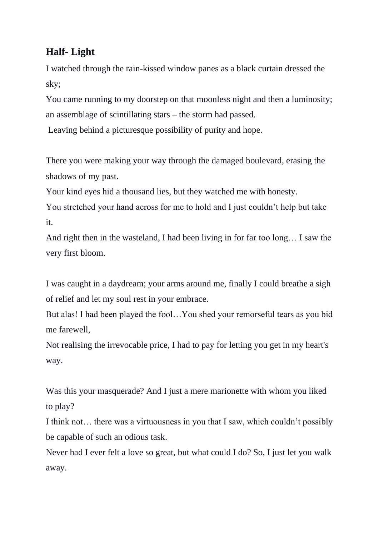## **Half- Light**

I watched through the rain-kissed window panes as a black curtain dressed the sky;

You came running to my doorstep on that moonless night and then a luminosity; an assemblage of scintillating stars – the storm had passed.

Leaving behind a picturesque possibility of purity and hope.

There you were making your way through the damaged boulevard, erasing the shadows of my past.

Your kind eyes hid a thousand lies, but they watched me with honesty.

You stretched your hand across for me to hold and I just couldn't help but take it.

And right then in the wasteland, I had been living in for far too long… I saw the very first bloom.

I was caught in a daydream; your arms around me, finally I could breathe a sigh of relief and let my soul rest in your embrace.

But alas! I had been played the fool…You shed your remorseful tears as you bid me farewell,

Not realising the irrevocable price, I had to pay for letting you get in my heart's way.

Was this your masquerade? And I just a mere marionette with whom you liked to play?

I think not… there was a virtuousness in you that I saw, which couldn't possibly be capable of such an odious task.

Never had I ever felt a love so great, but what could I do? So, I just let you walk away.